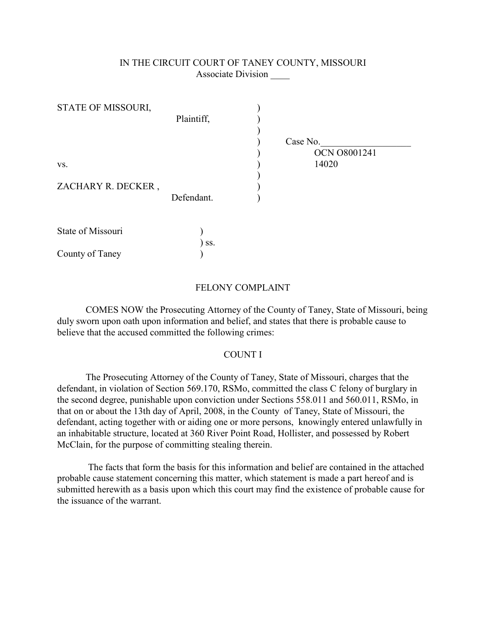## IN THE CIRCUIT COURT OF TANEY COUNTY, MISSOURI Associate Division \_\_\_\_

| STATE OF MISSOURI, |            |          |                     |
|--------------------|------------|----------|---------------------|
|                    | Plaintiff, |          |                     |
|                    |            |          |                     |
|                    |            | Case No. |                     |
|                    |            |          | <b>OCN 08001241</b> |
| VS.                |            | 14020    |                     |
|                    |            |          |                     |
| ZACHARY R. DECKER, |            |          |                     |
|                    | Defendant. |          |                     |
|                    |            |          |                     |
|                    |            |          |                     |
| State of Missouri  |            |          |                     |
|                    | SS.        |          |                     |
| County of Taney    |            |          |                     |

## FELONY COMPLAINT

COMES NOW the Prosecuting Attorney of the County of Taney, State of Missouri, being duly sworn upon oath upon information and belief, and states that there is probable cause to believe that the accused committed the following crimes:

## COUNT I

The Prosecuting Attorney of the County of Taney, State of Missouri, charges that the defendant, in violation of Section 569.170, RSMo, committed the class C felony of burglary in the second degree, punishable upon conviction under Sections 558.011 and 560.011, RSMo, in that on or about the 13th day of April, 2008, in the County of Taney, State of Missouri, the defendant, acting together with or aiding one or more persons, knowingly entered unlawfully in an inhabitable structure, located at 360 River Point Road, Hollister, and possessed by Robert McClain, for the purpose of committing stealing therein.

 The facts that form the basis for this information and belief are contained in the attached probable cause statement concerning this matter, which statement is made a part hereof and is submitted herewith as a basis upon which this court may find the existence of probable cause for the issuance of the warrant.